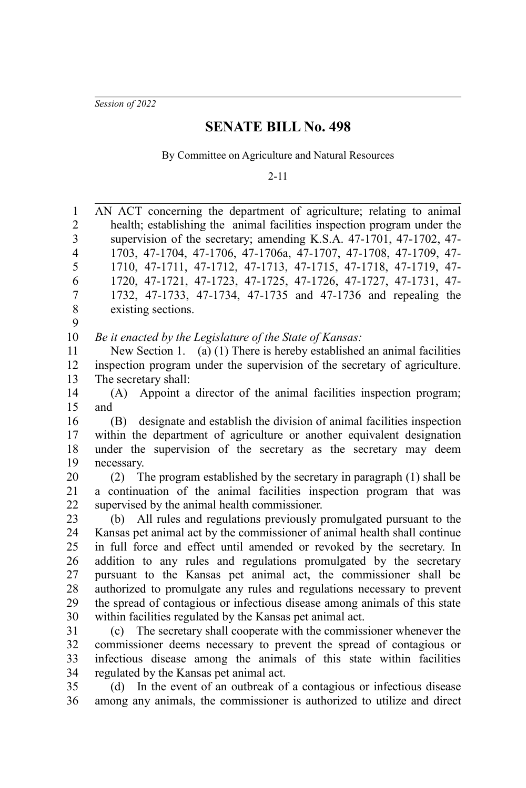*Session of 2022*

## **SENATE BILL No. 498**

By Committee on Agriculture and Natural Resources

2-11

AN ACT concerning the department of agriculture; relating to animal health; establishing the animal facilities inspection program under the supervision of the secretary; amending K.S.A. 47-1701, 47-1702, 47- 1703, 47-1704, 47-1706, 47-1706a, 47-1707, 47-1708, 47-1709, 47- 1710, 47-1711, 47-1712, 47-1713, 47-1715, 47-1718, 47-1719, 47- 1720, 47-1721, 47-1723, 47-1725, 47-1726, 47-1727, 47-1731, 47- 1732, 47-1733, 47-1734, 47-1735 and 47-1736 and repealing the existing sections. *Be it enacted by the Legislature of the State of Kansas:* New Section 1. (a) (1) There is hereby established an animal facilities inspection program under the supervision of the secretary of agriculture. The secretary shall: (A) Appoint a director of the animal facilities inspection program; and (B) designate and establish the division of animal facilities inspection within the department of agriculture or another equivalent designation under the supervision of the secretary as the secretary may deem necessary. (2) The program established by the secretary in paragraph (1) shall be a continuation of the animal facilities inspection program that was supervised by the animal health commissioner. (b) All rules and regulations previously promulgated pursuant to the Kansas pet animal act by the commissioner of animal health shall continue in full force and effect until amended or revoked by the secretary. In addition to any rules and regulations promulgated by the secretary pursuant to the Kansas pet animal act, the commissioner shall be authorized to promulgate any rules and regulations necessary to prevent the spread of contagious or infectious disease among animals of this state within facilities regulated by the Kansas pet animal act. (c) The secretary shall cooperate with the commissioner whenever the commissioner deems necessary to prevent the spread of contagious or infectious disease among the animals of this state within facilities regulated by the Kansas pet animal act. 1 2 3 4 5 6 7 8 9 10 11 12 13 14 15 16 17 18 19 20 21 22 23 24 25 26 27 28 29 30 31 32 33 34

(d) In the event of an outbreak of a contagious or infectious disease among any animals, the commissioner is authorized to utilize and direct 35 36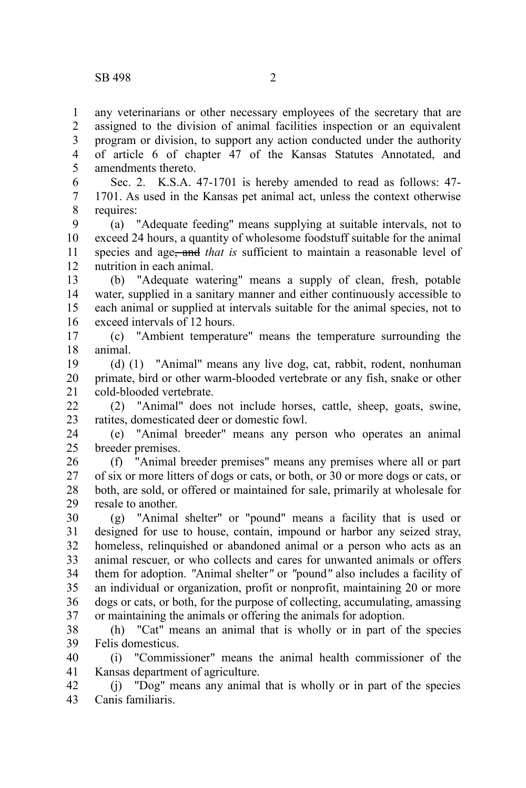any veterinarians or other necessary employees of the secretary that are assigned to the division of animal facilities inspection or an equivalent program or division, to support any action conducted under the authority of article 6 of chapter 47 of the Kansas Statutes Annotated, and amendments thereto. 1 2 3 4 5

Sec. 2. K.S.A. 47-1701 is hereby amended to read as follows: 47- 1701. As used in the Kansas pet animal act, unless the context otherwise requires: 6 7 8

(a) "Adequate feeding" means supplying at suitable intervals, not to exceed 24 hours, a quantity of wholesome foodstuff suitable for the animal species and age, and *that is* sufficient to maintain a reasonable level of nutrition in each animal. 9 10 11 12

(b) "Adequate watering" means a supply of clean, fresh, potable water, supplied in a sanitary manner and either continuously accessible to each animal or supplied at intervals suitable for the animal species, not to exceed intervals of 12 hours. 13 14 15 16

(c) "Ambient temperature" means the temperature surrounding the animal. 17 18

(d) (1) "Animal" means any live dog, cat, rabbit, rodent, nonhuman primate, bird or other warm-blooded vertebrate or any fish, snake or other cold-blooded vertebrate. 19 20 21

(2) "Animal" does not include horses, cattle, sheep, goats, swine, ratites, domesticated deer or domestic fowl.  $22$ 23

(e) "Animal breeder" means any person who operates an animal breeder premises. 24 25

(f) "Animal breeder premises" means any premises where all or part of six or more litters of dogs or cats, or both, or 30 or more dogs or cats, or both, are sold, or offered or maintained for sale, primarily at wholesale for resale to another. 26 27 28 29

(g) "Animal shelter" or "pound" means a facility that is used or designed for use to house, contain, impound or harbor any seized stray, homeless, relinquished or abandoned animal or a person who acts as an animal rescuer, or who collects and cares for unwanted animals or offers them for adoption. *"*Animal shelter*"* or *"*pound*"* also includes a facility of an individual or organization, profit or nonprofit, maintaining 20 or more dogs or cats, or both, for the purpose of collecting, accumulating, amassing or maintaining the animals or offering the animals for adoption. 30 31 32 33 34 35 36 37

(h) "Cat" means an animal that is wholly or in part of the species Felis domesticus. 38 39

(i) "Commissioner" means the animal health commissioner of the Kansas department of agriculture. 40 41

(j) "Dog" means any animal that is wholly or in part of the species Canis familiaris. 42 43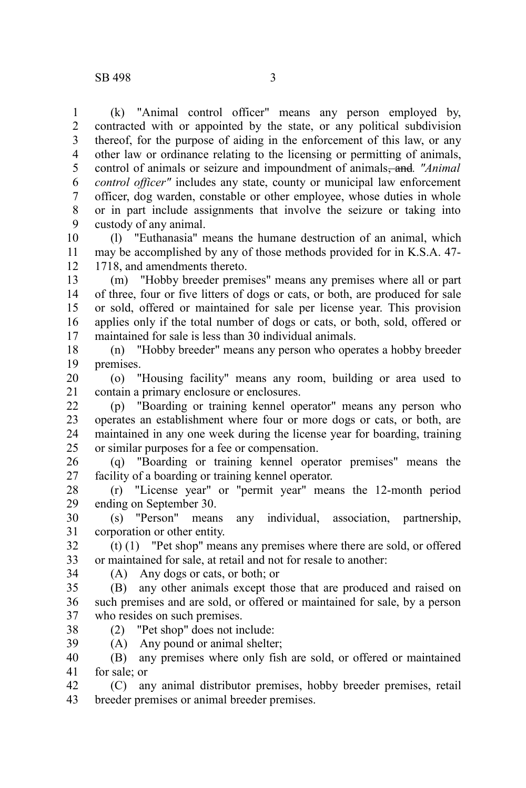(k) "Animal control officer" means any person employed by, contracted with or appointed by the state, or any political subdivision thereof, for the purpose of aiding in the enforcement of this law, or any other law or ordinance relating to the licensing or permitting of animals, control of animals or seizure and impoundment of animals, and*. "Animal control officer"* includes any state, county or municipal law enforcement officer, dog warden, constable or other employee, whose duties in whole or in part include assignments that involve the seizure or taking into custody of any animal. 1 2 3 4 5 6 7 8 9

(l) "Euthanasia" means the humane destruction of an animal, which may be accomplished by any of those methods provided for in K.S.A. 47- 1718, and amendments thereto. 10 11 12

(m) "Hobby breeder premises" means any premises where all or part of three, four or five litters of dogs or cats, or both, are produced for sale or sold, offered or maintained for sale per license year. This provision applies only if the total number of dogs or cats, or both, sold, offered or maintained for sale is less than 30 individual animals. 13 14 15 16 17

(n) "Hobby breeder" means any person who operates a hobby breeder premises. 18 19

(o) "Housing facility" means any room, building or area used to contain a primary enclosure or enclosures. 20 21

(p) "Boarding or training kennel operator" means any person who operates an establishment where four or more dogs or cats, or both, are maintained in any one week during the license year for boarding, training or similar purposes for a fee or compensation. 22 23 24 25

(q) "Boarding or training kennel operator premises" means the facility of a boarding or training kennel operator. 26 27

(r) "License year" or "permit year" means the 12-month period ending on September 30. 28 29

(s) "Person" means any individual, association, partnership, corporation or other entity. 30 31

(t) (1) "Pet shop" means any premises where there are sold, or offered or maintained for sale, at retail and not for resale to another: 32 33

34

38

(A) Any dogs or cats, or both; or

(B) any other animals except those that are produced and raised on such premises and are sold, or offered or maintained for sale, by a person who resides on such premises. 35 36 37

(2) "Pet shop" does not include:

(A) Any pound or animal shelter; 39

(B) any premises where only fish are sold, or offered or maintained for sale; or 40 41

(C) any animal distributor premises, hobby breeder premises, retail breeder premises or animal breeder premises. 42 43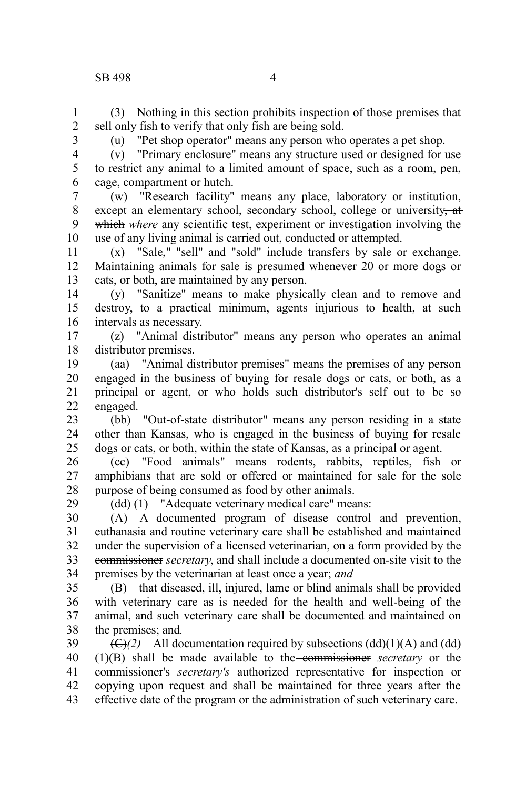## SB 498 4

(3) Nothing in this section prohibits inspection of those premises that sell only fish to verify that only fish are being sold. 1 2

3

6

29

(u) "Pet shop operator" means any person who operates a pet shop.

4 5

(v) "Primary enclosure" means any structure used or designed for use to restrict any animal to a limited amount of space, such as a room, pen, cage, compartment or hutch.

(w) "Research facility" means any place, laboratory or institution, except an elementary school, secondary school, college or university, at which where any scientific test, experiment or investigation involving the use of any living animal is carried out, conducted or attempted. 7 8 9 10

(x) "Sale," "sell" and "sold" include transfers by sale or exchange. Maintaining animals for sale is presumed whenever 20 or more dogs or cats, or both, are maintained by any person. 11 12 13

(y) "Sanitize" means to make physically clean and to remove and destroy, to a practical minimum, agents injurious to health, at such intervals as necessary. 14 15 16

(z) "Animal distributor" means any person who operates an animal distributor premises. 17 18

(aa) "Animal distributor premises" means the premises of any person engaged in the business of buying for resale dogs or cats, or both, as a principal or agent, or who holds such distributor's self out to be so engaged. 19 20 21 22

(bb) "Out-of-state distributor" means any person residing in a state other than Kansas, who is engaged in the business of buying for resale dogs or cats, or both, within the state of Kansas, as a principal or agent. 23 24 25

(cc) "Food animals" means rodents, rabbits, reptiles, fish or amphibians that are sold or offered or maintained for sale for the sole purpose of being consumed as food by other animals. 26 27 28

(dd) (1) "Adequate veterinary medical care" means:

(A) A documented program of disease control and prevention, euthanasia and routine veterinary care shall be established and maintained under the supervision of a licensed veterinarian, on a form provided by the commissioner *secretary*, and shall include a documented on-site visit to the premises by the veterinarian at least once a year; *and* 30 31 32 33 34

(B) that diseased, ill, injured, lame or blind animals shall be provided with veterinary care as is needed for the health and well-being of the animal, and such veterinary care shall be documented and maintained on the premises; and*.* 35 36 37 38

 $(\bigoplus)(2)$  All documentation required by subsections  $(dd)(1)(A)$  and  $(dd)$ (1)(B) shall be made available to the commissioner *secretary* or the commissioner's *secretary's* authorized representative for inspection or copying upon request and shall be maintained for three years after the effective date of the program or the administration of such veterinary care. 39 40 41 42 43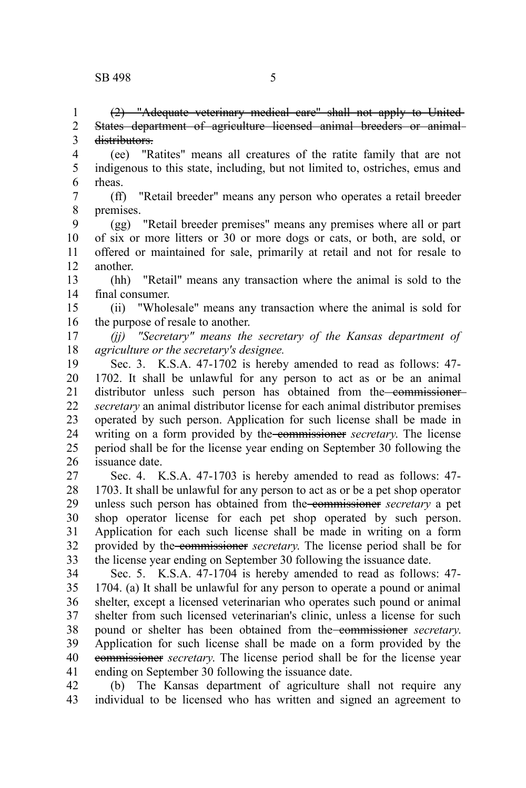(2) "Adequate veterinary medical care" shall not apply to United States department of agriculture licensed animal breeders or animal distributors. 1 2 3

(ee) "Ratites" means all creatures of the ratite family that are not indigenous to this state, including, but not limited to, ostriches, emus and rheas. 4 5 6

(ff) "Retail breeder" means any person who operates a retail breeder premises. 7 8

(gg) "Retail breeder premises" means any premises where all or part of six or more litters or 30 or more dogs or cats, or both, are sold, or offered or maintained for sale, primarily at retail and not for resale to another. 9 10 11 12

(hh) "Retail" means any transaction where the animal is sold to the final consumer. 13 14

(ii) "Wholesale" means any transaction where the animal is sold for the purpose of resale to another. 15 16

*(jj) "Secretary" means the secretary of the Kansas department of agriculture or the secretary's designee.* 17 18

Sec. 3. K.S.A. 47-1702 is hereby amended to read as follows: 47- 1702. It shall be unlawful for any person to act as or be an animal distributor unless such person has obtained from the commissioner*secretary* an animal distributor license for each animal distributor premises operated by such person. Application for such license shall be made in writing on a form provided by the commissioner *secretary*. The license period shall be for the license year ending on September 30 following the issuance date. 19 20 21 22 23 24 25 26

Sec. 4. K.S.A. 47-1703 is hereby amended to read as follows: 47- 1703. It shall be unlawful for any person to act as or be a pet shop operator unless such person has obtained from the commissioner *secretary* a pet shop operator license for each pet shop operated by such person. Application for each such license shall be made in writing on a form provided by the commissioner *secretary*. The license period shall be for the license year ending on September 30 following the issuance date. 27 28 29 30 31 32 33

Sec. 5. K.S.A. 47-1704 is hereby amended to read as follows: 47- 1704. (a) It shall be unlawful for any person to operate a pound or animal shelter, except a licensed veterinarian who operates such pound or animal shelter from such licensed veterinarian's clinic, unless a license for such pound or shelter has been obtained from the commissioner *secretary*. Application for such license shall be made on a form provided by the commissioner *secretary*. The license period shall be for the license year ending on September 30 following the issuance date. 34 35 36 37 38 39 40 41

(b) The Kansas department of agriculture shall not require any individual to be licensed who has written and signed an agreement to 42 43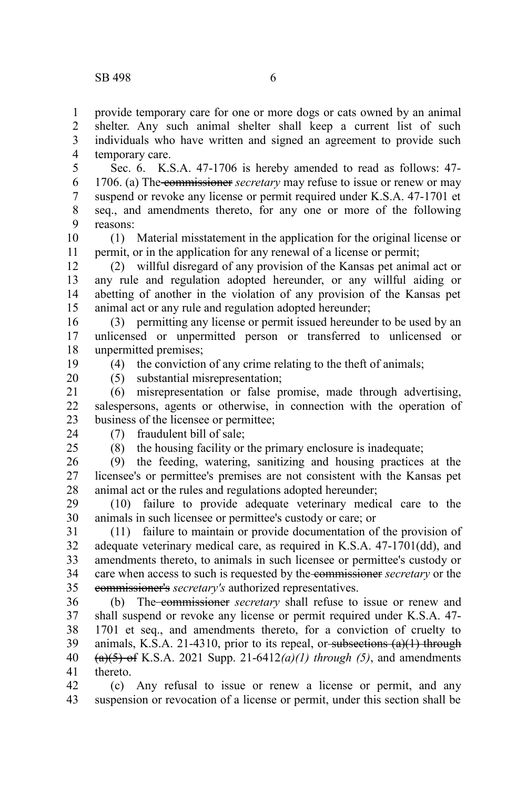provide temporary care for one or more dogs or cats owned by an animal shelter. Any such animal shelter shall keep a current list of such individuals who have written and signed an agreement to provide such temporary care. 1 2 3 4

Sec. 6. K.S.A. 47-1706 is hereby amended to read as follows: 47- 1706. (a) The commissioner *secretary* may refuse to issue or renew or may suspend or revoke any license or permit required under K.S.A. 47-1701 et seq., and amendments thereto, for any one or more of the following reasons: 5 6 7 8 9

(1) Material misstatement in the application for the original license or permit, or in the application for any renewal of a license or permit; 10 11

(2) willful disregard of any provision of the Kansas pet animal act or any rule and regulation adopted hereunder, or any willful aiding or abetting of another in the violation of any provision of the Kansas pet animal act or any rule and regulation adopted hereunder; 12 13 14 15

(3) permitting any license or permit issued hereunder to be used by an unlicensed or unpermitted person or transferred to unlicensed or unpermitted premises; 16 17 18

(4) the conviction of any crime relating to the theft of animals;

19 20

(5) substantial misrepresentation;

(6) misrepresentation or false promise, made through advertising, salespersons, agents or otherwise, in connection with the operation of business of the licensee or permittee; 21 22 23

24  $25$ 

## (7) fraudulent bill of sale;

(8) the housing facility or the primary enclosure is inadequate;

(9) the feeding, watering, sanitizing and housing practices at the licensee's or permittee's premises are not consistent with the Kansas pet animal act or the rules and regulations adopted hereunder; 26 27 28

(10) failure to provide adequate veterinary medical care to the animals in such licensee or permittee's custody or care; or 29 30

(11) failure to maintain or provide documentation of the provision of adequate veterinary medical care, as required in K.S.A. 47-1701(dd), and amendments thereto, to animals in such licensee or permittee's custody or care when access to such is requested by the commissioner *secretary* or the commissioner's *secretary's* authorized representatives. 31 32 33 34 35

(b) The commissioner *secretary* shall refuse to issue or renew and shall suspend or revoke any license or permit required under K.S.A. 47- 1701 et seq., and amendments thereto, for a conviction of cruelty to animals, K.S.A. 21-4310, prior to its repeal, or subsections  $(a)(1)$  through (a)(5) of K.S.A. 2021 Supp. 21-6412*(a)(1) through (5)*, and amendments thereto. 36 37 38 39 40 41

(c) Any refusal to issue or renew a license or permit, and any suspension or revocation of a license or permit, under this section shall be 42 43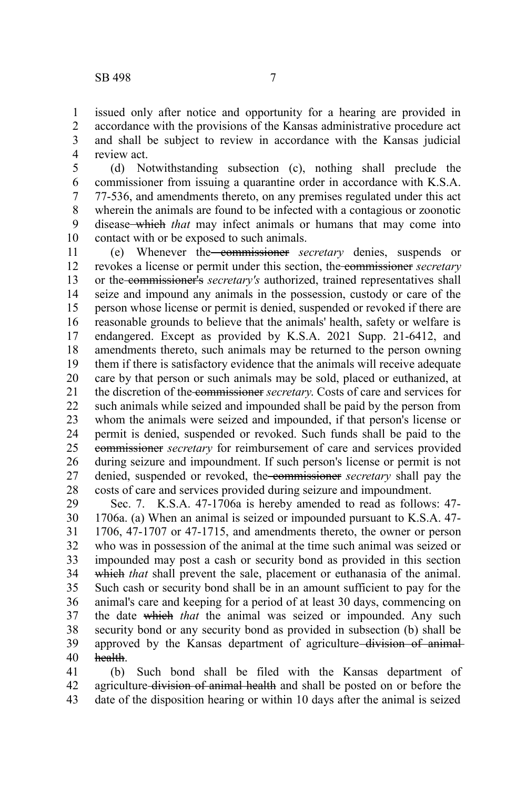issued only after notice and opportunity for a hearing are provided in accordance with the provisions of the Kansas administrative procedure act and shall be subject to review in accordance with the Kansas judicial review act. 1 2 3 4

(d) Notwithstanding subsection (c), nothing shall preclude the commissioner from issuing a quarantine order in accordance with K.S.A. 77-536, and amendments thereto, on any premises regulated under this act wherein the animals are found to be infected with a contagious or zoonotic disease which *that* may infect animals or humans that may come into contact with or be exposed to such animals. 5 6 7 8 9 10

(e) Whenever the commissioner *secretary* denies, suspends or revokes a license or permit under this section, the commissioner *secretary* or the commissioner's *secretary's* authorized, trained representatives shall seize and impound any animals in the possession, custody or care of the person whose license or permit is denied, suspended or revoked if there are reasonable grounds to believe that the animals' health, safety or welfare is endangered. Except as provided by K.S.A. 2021 Supp. 21-6412, and amendments thereto, such animals may be returned to the person owning them if there is satisfactory evidence that the animals will receive adequate care by that person or such animals may be sold, placed or euthanized, at the discretion of the commissioner *secretary*. Costs of care and services for such animals while seized and impounded shall be paid by the person from whom the animals were seized and impounded, if that person's license or permit is denied, suspended or revoked. Such funds shall be paid to the commissioner *secretary* for reimbursement of care and services provided during seizure and impoundment. If such person's license or permit is not denied, suspended or revoked, the commissioner *secretary* shall pay the costs of care and services provided during seizure and impoundment. 11 12 13 14 15 16 17 18 19 20 21 22 23 24 25 26 27 28

Sec. 7. K.S.A. 47-1706a is hereby amended to read as follows: 47- 1706a. (a) When an animal is seized or impounded pursuant to K.S.A. 47- 1706, 47-1707 or 47-1715, and amendments thereto, the owner or person who was in possession of the animal at the time such animal was seized or impounded may post a cash or security bond as provided in this section which *that* shall prevent the sale, placement or euthanasia of the animal. Such cash or security bond shall be in an amount sufficient to pay for the animal's care and keeping for a period of at least 30 days, commencing on the date which *that* the animal was seized or impounded. Any such security bond or any security bond as provided in subsection (b) shall be approved by the Kansas department of agriculture division of animalhealth. 29 30 31 32 33 34 35 36 37 38 39 40

(b) Such bond shall be filed with the Kansas department of agriculture division of animal health and shall be posted on or before the date of the disposition hearing or within 10 days after the animal is seized 41 42 43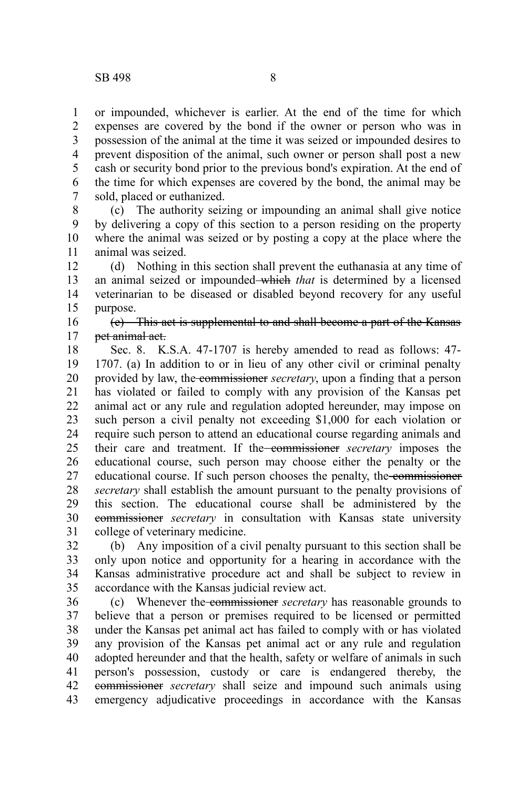or impounded, whichever is earlier. At the end of the time for which expenses are covered by the bond if the owner or person who was in possession of the animal at the time it was seized or impounded desires to prevent disposition of the animal, such owner or person shall post a new cash or security bond prior to the previous bond's expiration. At the end of the time for which expenses are covered by the bond, the animal may be sold, placed or euthanized. 1 2 3 4 5 6 7

(c) The authority seizing or impounding an animal shall give notice by delivering a copy of this section to a person residing on the property where the animal was seized or by posting a copy at the place where the animal was seized. 8 9 10 11

(d) Nothing in this section shall prevent the euthanasia at any time of an animal seized or impounded which *that* is determined by a licensed veterinarian to be diseased or disabled beyond recovery for any useful purpose. 12 13 14 15

## (e) This act is supplemental to and shall become a part of the Kansas pet animal act. 16 17

Sec. 8. K.S.A. 47-1707 is hereby amended to read as follows: 47- 1707. (a) In addition to or in lieu of any other civil or criminal penalty provided by law, the commissioner *secretary*, upon a finding that a person has violated or failed to comply with any provision of the Kansas pet animal act or any rule and regulation adopted hereunder, may impose on such person a civil penalty not exceeding \$1,000 for each violation or require such person to attend an educational course regarding animals and their care and treatment. If the commissioner *secretary* imposes the educational course, such person may choose either the penalty or the educational course. If such person chooses the penalty, the commissioner *secretary* shall establish the amount pursuant to the penalty provisions of this section. The educational course shall be administered by the commissioner *secretary* in consultation with Kansas state university college of veterinary medicine. 18 19 20 21 22 23 24 25 26 27 28 29 30 31

(b) Any imposition of a civil penalty pursuant to this section shall be only upon notice and opportunity for a hearing in accordance with the Kansas administrative procedure act and shall be subject to review in accordance with the Kansas judicial review act. 32 33 34 35

(c) Whenever the commissioner *secretary* has reasonable grounds to believe that a person or premises required to be licensed or permitted under the Kansas pet animal act has failed to comply with or has violated any provision of the Kansas pet animal act or any rule and regulation adopted hereunder and that the health, safety or welfare of animals in such person's possession, custody or care is endangered thereby, the commissioner *secretary* shall seize and impound such animals using emergency adjudicative proceedings in accordance with the Kansas 36 37 38 39 40 41 42 43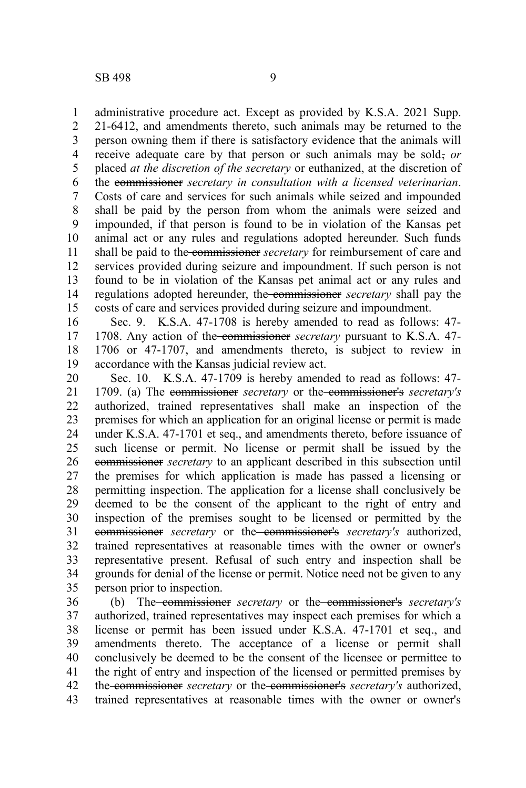administrative procedure act. Except as provided by K.S.A. 2021 Supp. 21-6412, and amendments thereto, such animals may be returned to the person owning them if there is satisfactory evidence that the animals will receive adequate care by that person or such animals may be sold, or placed *at the discretion of the secretary* or euthanized, at the discretion of the commissioner *secretary in consultation with a licensed veterinarian*. Costs of care and services for such animals while seized and impounded shall be paid by the person from whom the animals were seized and impounded, if that person is found to be in violation of the Kansas pet animal act or any rules and regulations adopted hereunder. Such funds shall be paid to the commissioner *secretary* for reimbursement of care and services provided during seizure and impoundment. If such person is not found to be in violation of the Kansas pet animal act or any rules and regulations adopted hereunder, the commissioner *secretary* shall pay the costs of care and services provided during seizure and impoundment. 1 2 3 4 5 6 7 8 9 10 11 12 13 14 15

Sec. 9. K.S.A. 47-1708 is hereby amended to read as follows: 47- 1708. Any action of the commissioner *secretary* pursuant to K.S.A. 47- 1706 or 47-1707, and amendments thereto, is subject to review in accordance with the Kansas judicial review act. 16 17 18 19

Sec. 10. K.S.A. 47-1709 is hereby amended to read as follows: 47- 1709. (a) The commissioner *secretary* or the commissioner's *secretary's* authorized, trained representatives shall make an inspection of the premises for which an application for an original license or permit is made under K.S.A. 47-1701 et seq., and amendments thereto, before issuance of such license or permit. No license or permit shall be issued by the commissioner *secretary* to an applicant described in this subsection until the premises for which application is made has passed a licensing or permitting inspection. The application for a license shall conclusively be deemed to be the consent of the applicant to the right of entry and inspection of the premises sought to be licensed or permitted by the commissioner *secretary* or the commissioner's *secretary's* authorized, trained representatives at reasonable times with the owner or owner's representative present. Refusal of such entry and inspection shall be grounds for denial of the license or permit. Notice need not be given to any person prior to inspection. 20 21 22 23 24 25 26 27 28 29 30 31 32 33 34 35

(b) The commissioner *secretary* or the commissioner's *secretary's* authorized, trained representatives may inspect each premises for which a license or permit has been issued under K.S.A. 47-1701 et seq., and amendments thereto. The acceptance of a license or permit shall conclusively be deemed to be the consent of the licensee or permittee to the right of entry and inspection of the licensed or permitted premises by the commissioner *secretary* or the commissioner's *secretary's* authorized, trained representatives at reasonable times with the owner or owner's 36 37 38 39 40 41 42 43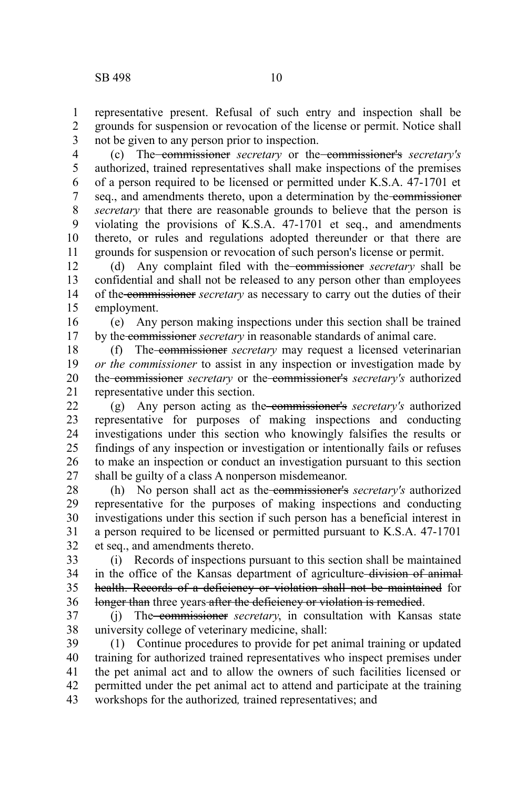representative present. Refusal of such entry and inspection shall be grounds for suspension or revocation of the license or permit. Notice shall not be given to any person prior to inspection. 1 2 3

(c) The commissioner *secretary* or the commissioner's *secretary's* authorized, trained representatives shall make inspections of the premises of a person required to be licensed or permitted under K.S.A. 47-1701 et seq., and amendments thereto, upon a determination by the commissioner *secretary* that there are reasonable grounds to believe that the person is violating the provisions of K.S.A. 47-1701 et seq., and amendments thereto, or rules and regulations adopted thereunder or that there are grounds for suspension or revocation of such person's license or permit. 4 5 6 7 8 9 10 11

(d) Any complaint filed with the commissioner *secretary* shall be confidential and shall not be released to any person other than employees of the commissioner *secretary* as necessary to carry out the duties of their employment. 12 13 14 15

(e) Any person making inspections under this section shall be trained by the commissioner *secretary* in reasonable standards of animal care. 16 17

(f) The commissioner *secretary* may request a licensed veterinarian *or the commissioner* to assist in any inspection or investigation made by the commissioner *secretary* or the commissioner's *secretary's* authorized representative under this section. 18 19 20 21

(g) Any person acting as the commissioner's *secretary's* authorized representative for purposes of making inspections and conducting investigations under this section who knowingly falsifies the results or findings of any inspection or investigation or intentionally fails or refuses to make an inspection or conduct an investigation pursuant to this section shall be guilty of a class A nonperson misdemeanor. 22 23 24 25 26 27

(h) No person shall act as the commissioner's *secretary's* authorized representative for the purposes of making inspections and conducting investigations under this section if such person has a beneficial interest in a person required to be licensed or permitted pursuant to K.S.A. 47-1701 et seq., and amendments thereto. 28 29 30 31 32

(i) Records of inspections pursuant to this section shall be maintained in the office of the Kansas department of agriculture-division of animalhealth. Records of a deficiency or violation shall not be maintained for longer than three years after the deficiency or violation is remedied. 33 34 35 36

(j) The commissioner *secretary*, in consultation with Kansas state university college of veterinary medicine, shall: 37 38

(1) Continue procedures to provide for pet animal training or updated training for authorized trained representatives who inspect premises under the pet animal act and to allow the owners of such facilities licensed or permitted under the pet animal act to attend and participate at the training workshops for the authorized*,* trained representatives; and 39 40 41 42 43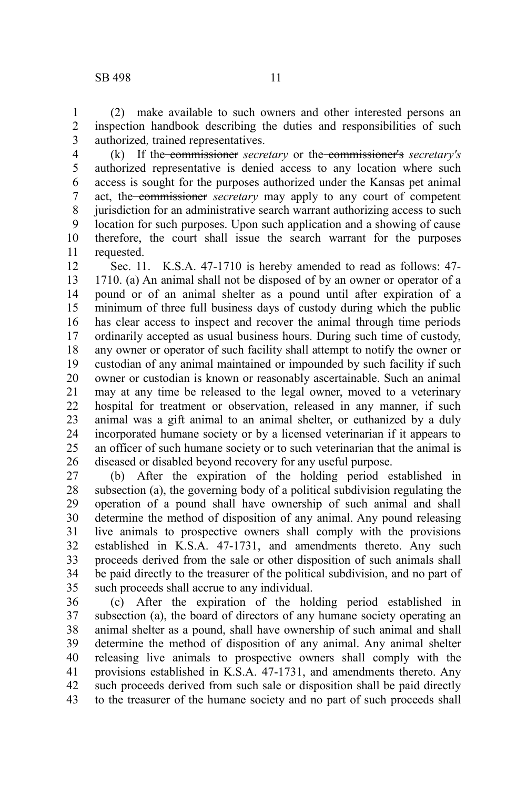(2) make available to such owners and other interested persons an inspection handbook describing the duties and responsibilities of such authorized*,* trained representatives. 1 2 3

(k) If the commissioner *secretary* or the commissioner's *secretary's* authorized representative is denied access to any location where such access is sought for the purposes authorized under the Kansas pet animal act, the commissioner *secretary* may apply to any court of competent jurisdiction for an administrative search warrant authorizing access to such location for such purposes. Upon such application and a showing of cause therefore, the court shall issue the search warrant for the purposes requested. 4 5 6 7 8 9 10 11

Sec. 11. K.S.A. 47-1710 is hereby amended to read as follows: 47- 1710. (a) An animal shall not be disposed of by an owner or operator of a pound or of an animal shelter as a pound until after expiration of a minimum of three full business days of custody during which the public has clear access to inspect and recover the animal through time periods ordinarily accepted as usual business hours. During such time of custody, any owner or operator of such facility shall attempt to notify the owner or custodian of any animal maintained or impounded by such facility if such owner or custodian is known or reasonably ascertainable. Such an animal may at any time be released to the legal owner, moved to a veterinary hospital for treatment or observation, released in any manner, if such animal was a gift animal to an animal shelter, or euthanized by a duly incorporated humane society or by a licensed veterinarian if it appears to an officer of such humane society or to such veterinarian that the animal is diseased or disabled beyond recovery for any useful purpose. 12 13 14 15 16 17 18 19 20 21 22 23 24 25 26

(b) After the expiration of the holding period established in subsection (a), the governing body of a political subdivision regulating the operation of a pound shall have ownership of such animal and shall determine the method of disposition of any animal. Any pound releasing live animals to prospective owners shall comply with the provisions established in K.S.A. 47-1731, and amendments thereto. Any such proceeds derived from the sale or other disposition of such animals shall be paid directly to the treasurer of the political subdivision, and no part of such proceeds shall accrue to any individual. 27 28 29 30 31 32 33 34 35

(c) After the expiration of the holding period established in subsection (a), the board of directors of any humane society operating an animal shelter as a pound, shall have ownership of such animal and shall determine the method of disposition of any animal. Any animal shelter releasing live animals to prospective owners shall comply with the provisions established in K.S.A. 47-1731, and amendments thereto. Any such proceeds derived from such sale or disposition shall be paid directly to the treasurer of the humane society and no part of such proceeds shall 36 37 38 39 40 41 42 43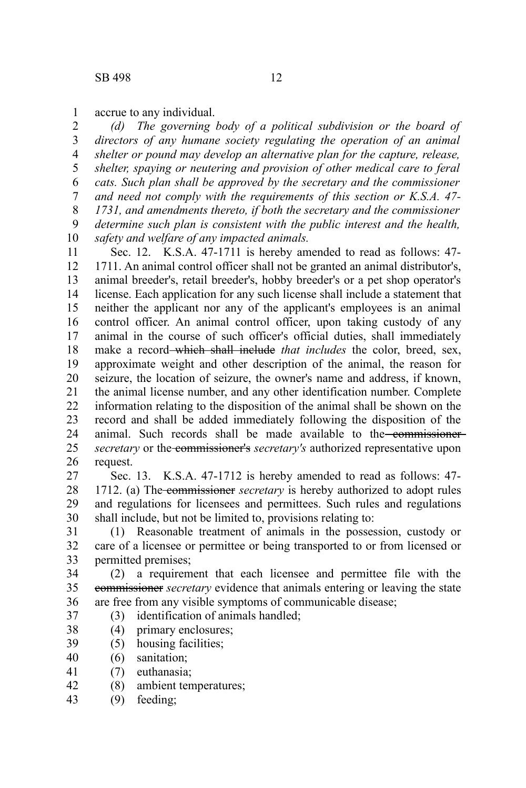accrue to any individual. 1

*(d) The governing body of a political subdivision or the board of directors of any humane society regulating the operation of an animal shelter or pound may develop an alternative plan for the capture, release, shelter, spaying or neutering and provision of other medical care to feral cats. Such plan shall be approved by the secretary and the commissioner and need not comply with the requirements of this section or K.S.A. 47- 1731, and amendments thereto, if both the secretary and the commissioner determine such plan is consistent with the public interest and the health, safety and welfare of any impacted animals.* 2 3 4 5 6 7 8 9 10

Sec. 12. K.S.A. 47-1711 is hereby amended to read as follows: 47- 1711. An animal control officer shall not be granted an animal distributor's, animal breeder's, retail breeder's, hobby breeder's or a pet shop operator's license. Each application for any such license shall include a statement that neither the applicant nor any of the applicant's employees is an animal control officer. An animal control officer, upon taking custody of any animal in the course of such officer's official duties, shall immediately make a record which shall include *that includes* the color, breed, sex, approximate weight and other description of the animal, the reason for seizure, the location of seizure, the owner's name and address, if known, the animal license number, and any other identification number. Complete information relating to the disposition of the animal shall be shown on the record and shall be added immediately following the disposition of the animal. Such records shall be made available to the commissioner*secretary* or the commissioner's *secretary's* authorized representative upon request. 11 12 13 14 15 16 17 18 19 20 21 22 23 24 25 26

Sec. 13. K.S.A. 47-1712 is hereby amended to read as follows: 47- 1712. (a) The commissioner *secretary* is hereby authorized to adopt rules and regulations for licensees and permittees. Such rules and regulations shall include, but not be limited to, provisions relating to: 27 28 29 30

(1) Reasonable treatment of animals in the possession, custody or care of a licensee or permittee or being transported to or from licensed or permitted premises; 31 32 33

(2) a requirement that each licensee and permittee file with the commissioner *secretary* evidence that animals entering or leaving the state are free from any visible symptoms of communicable disease; 34 35 36

- (3) identification of animals handled; 37
- (4) primary enclosures; 38
- (5) housing facilities; 39
- (6) sanitation; 40
- (7) euthanasia; 41
- (8) ambient temperatures; 42
- (9) feeding; 43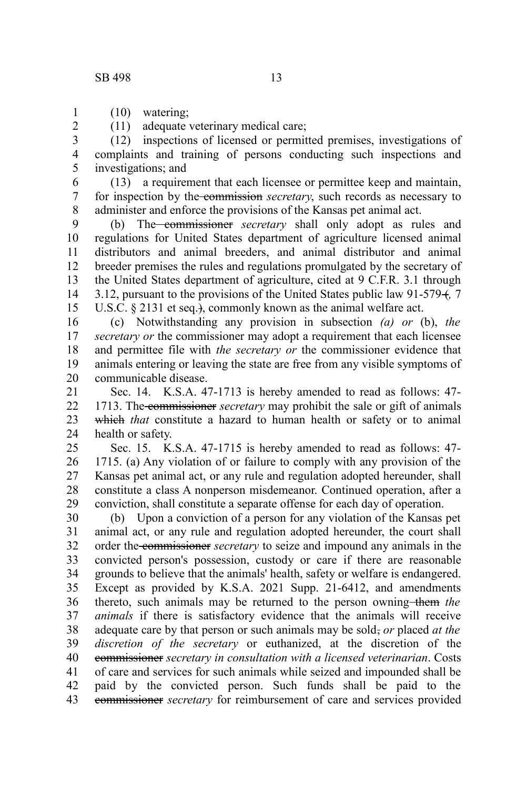(10) watering; 1

2

(11) adequate veterinary medical care;

(12) inspections of licensed or permitted premises, investigations of complaints and training of persons conducting such inspections and investigations; and 3 4 5

(13) a requirement that each licensee or permittee keep and maintain, for inspection by the commission *secretary*, such records as necessary to administer and enforce the provisions of the Kansas pet animal act. 6 7 8

(b) The commissioner *secretary* shall only adopt as rules and regulations for United States department of agriculture licensed animal distributors and animal breeders, and animal distributor and animal breeder premises the rules and regulations promulgated by the secretary of the United States department of agriculture, cited at 9 C.F.R. 3.1 through 3.12, pursuant to the provisions of the United States public law 91-579 (*,* 7 U.S.C. § 2131 et seq.}, commonly known as the animal welfare act. 9 10 11 12 13 14 15

(c) Notwithstanding any provision in subsection *(a) or* (b), *the secretary or* the commissioner may adopt a requirement that each licensee and permittee file with *the secretary or* the commissioner evidence that animals entering or leaving the state are free from any visible symptoms of communicable disease. 16 17 18 19 20

Sec. 14. K.S.A. 47-1713 is hereby amended to read as follows: 47- 1713. The commissioner *secretary* may prohibit the sale or gift of animals which *that* constitute a hazard to human health or safety or to animal health or safety. 21 22 23 24

Sec. 15. K.S.A. 47-1715 is hereby amended to read as follows: 47- 1715. (a) Any violation of or failure to comply with any provision of the Kansas pet animal act, or any rule and regulation adopted hereunder, shall constitute a class A nonperson misdemeanor. Continued operation, after a conviction, shall constitute a separate offense for each day of operation. 25 26 27 28 29

(b) Upon a conviction of a person for any violation of the Kansas pet animal act, or any rule and regulation adopted hereunder, the court shall order the commissioner *secretary* to seize and impound any animals in the convicted person's possession, custody or care if there are reasonable grounds to believe that the animals' health, safety or welfare is endangered. Except as provided by K.S.A. 2021 Supp. 21-6412, and amendments thereto, such animals may be returned to the person owning-them the *animals* if there is satisfactory evidence that the animals will receive adequate care by that person or such animals may be sold, *or* placed *at the discretion of the secretary* or euthanized, at the discretion of the commissioner *secretary in consultation with a licensed veterinarian*. Costs of care and services for such animals while seized and impounded shall be paid by the convicted person. Such funds shall be paid to the commissioner *secretary* for reimbursement of care and services provided 30 31 32 33 34 35 36 37 38 39 40 41 42 43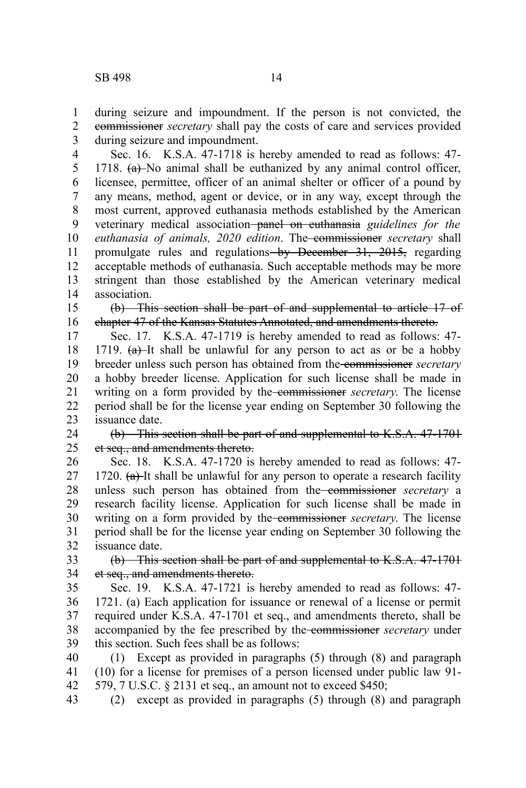during seizure and impoundment. If the person is not convicted, the commissioner *secretary* shall pay the costs of care and services provided during seizure and impoundment. 1 2 3

Sec. 16. K.S.A. 47-1718 is hereby amended to read as follows: 47- 1718.  $(a)$  No animal shall be euthanized by any animal control officer, licensee, permittee, officer of an animal shelter or officer of a pound by any means, method, agent or device, or in any way, except through the most current, approved euthanasia methods established by the American veterinary medical association panel on euthanasia *guidelines for the euthanasia of animals, 2020 edition*. The commissioner *secretary* shall promulgate rules and regulations by December 31, 2015, regarding acceptable methods of euthanasia. Such acceptable methods may be more stringent than those established by the American veterinary medical association. 4 5 6 7 8 9 10 11 12 13 14

(b) This section shall be part of and supplemental to article 17 of chapter 47 of the Kansas Statutes Annotated, and amendments thereto. 15 16

Sec. 17. K.S.A. 47-1719 is hereby amended to read as follows: 47- 1719.  $(a)$ -It shall be unlawful for any person to act as or be a hobby breeder unless such person has obtained from the commissioner *secretary* a hobby breeder license. Application for such license shall be made in writing on a form provided by the commissioner *secretary*. The license period shall be for the license year ending on September 30 following the issuance date. 17 18 19 20 21 22 23

(b) This section shall be part of and supplemental to K.S.A. 47-1701 et seq., and amendments thereto. 24 25

Sec. 18. K.S.A. 47-1720 is hereby amended to read as follows: 47- 1720.  $(a)$ -It shall be unlawful for any person to operate a research facility unless such person has obtained from the commissioner *secretary* a research facility license. Application for such license shall be made in writing on a form provided by the commissioner *secretary*. The license period shall be for the license year ending on September 30 following the issuance date. 26 27 28 29 30 31 32

(b) This section shall be part of and supplemental to K.S.A. 47-1701 et seq., and amendments thereto. 33 34

Sec. 19. K.S.A. 47-1721 is hereby amended to read as follows: 47- 1721. (a) Each application for issuance or renewal of a license or permit required under K.S.A. 47-1701 et seq., and amendments thereto, shall be accompanied by the fee prescribed by the commissioner *secretary* under this section. Such fees shall be as follows: 35 36 37 38 39

(1) Except as provided in paragraphs (5) through (8) and paragraph (10) for a license for premises of a person licensed under public law 91- 579, 7 U.S.C. § 2131 et seq., an amount not to exceed \$450; 40 41 42

(2) except as provided in paragraphs (5) through (8) and paragraph 43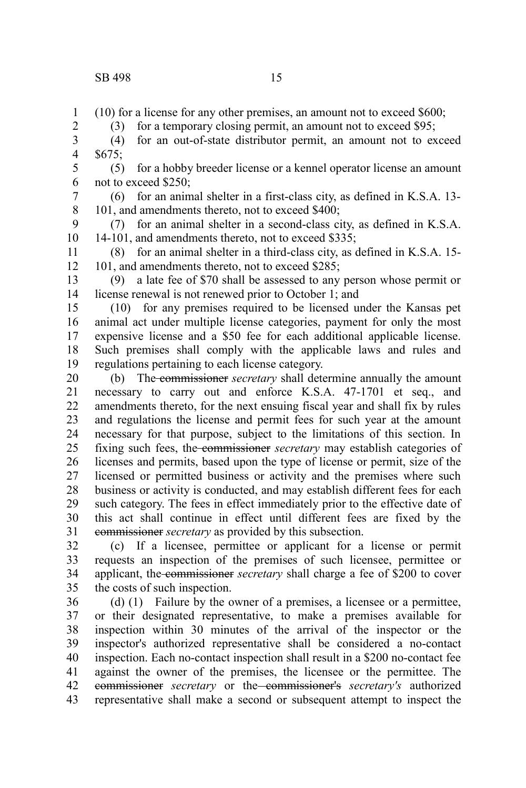2

(10) for a license for any other premises, an amount not to exceed \$600; 1

(3) for a temporary closing permit, an amount not to exceed \$95;

(4) for an out-of-state distributor permit, an amount not to exceed \$675; 3 4

(5) for a hobby breeder license or a kennel operator license an amount not to exceed \$250; 5 6

(6) for an animal shelter in a first-class city, as defined in K.S.A. 13- 101, and amendments thereto, not to exceed \$400; 7 8

(7) for an animal shelter in a second-class city, as defined in K.S.A. 14-101, and amendments thereto, not to exceed \$335; 9 10

(8) for an animal shelter in a third-class city, as defined in K.S.A. 15- 101, and amendments thereto, not to exceed \$285; 11 12

(9) a late fee of \$70 shall be assessed to any person whose permit or license renewal is not renewed prior to October 1; and 13 14

(10) for any premises required to be licensed under the Kansas pet animal act under multiple license categories, payment for only the most expensive license and a \$50 fee for each additional applicable license. Such premises shall comply with the applicable laws and rules and regulations pertaining to each license category. 15 16 17 18 19

(b) The commissioner *secretary* shall determine annually the amount necessary to carry out and enforce K.S.A. 47-1701 et seq., and amendments thereto, for the next ensuing fiscal year and shall fix by rules and regulations the license and permit fees for such year at the amount necessary for that purpose, subject to the limitations of this section. In fixing such fees, the commissioner *secretary* may establish categories of licenses and permits, based upon the type of license or permit, size of the licensed or permitted business or activity and the premises where such business or activity is conducted, and may establish different fees for each such category. The fees in effect immediately prior to the effective date of this act shall continue in effect until different fees are fixed by the commissioner *secretary* as provided by this subsection. 20 21 22 23 24 25 26 27 28 29 30 31

(c) If a licensee, permittee or applicant for a license or permit requests an inspection of the premises of such licensee, permittee or applicant, the commissioner *secretary* shall charge a fee of \$200 to cover the costs of such inspection. 32 33 34 35

(d) (1) Failure by the owner of a premises, a licensee or a permittee, or their designated representative, to make a premises available for inspection within 30 minutes of the arrival of the inspector or the inspector's authorized representative shall be considered a no-contact inspection. Each no-contact inspection shall result in a \$200 no-contact fee against the owner of the premises, the licensee or the permittee. The commissioner *secretary* or the commissioner's *secretary's* authorized representative shall make a second or subsequent attempt to inspect the 36 37 38 39 40 41 42 43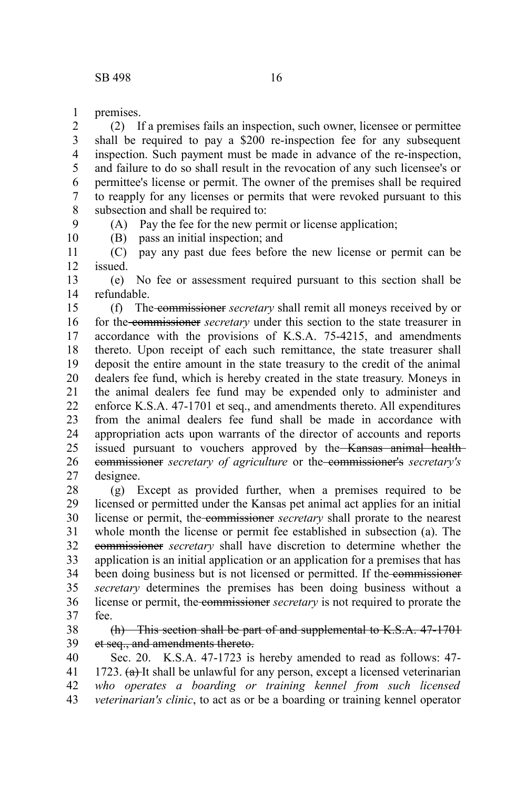premises. 1

9 10

(2) If a premises fails an inspection, such owner, licensee or permittee shall be required to pay a \$200 re-inspection fee for any subsequent inspection. Such payment must be made in advance of the re-inspection, and failure to do so shall result in the revocation of any such licensee's or permittee's license or permit. The owner of the premises shall be required to reapply for any licenses or permits that were revoked pursuant to this subsection and shall be required to: 2 3 4 5 6 7 8

(A) Pay the fee for the new permit or license application;

(B) pass an initial inspection; and

(C) pay any past due fees before the new license or permit can be issued. 11 12

(e) No fee or assessment required pursuant to this section shall be refundable. 13 14

(f) The commissioner *secretary* shall remit all moneys received by or for the commissioner *secretary* under this section to the state treasurer in accordance with the provisions of K.S.A. 75-4215, and amendments thereto. Upon receipt of each such remittance, the state treasurer shall deposit the entire amount in the state treasury to the credit of the animal dealers fee fund, which is hereby created in the state treasury. Moneys in the animal dealers fee fund may be expended only to administer and enforce K.S.A. 47-1701 et seq., and amendments thereto. All expenditures from the animal dealers fee fund shall be made in accordance with appropriation acts upon warrants of the director of accounts and reports issued pursuant to vouchers approved by the Kansas animal healthcommissioner *secretary of agriculture* or the commissioner's *secretary's* designee. 15 16 17 18 19 20 21 22 23 24 25 26 27

(g) Except as provided further, when a premises required to be licensed or permitted under the Kansas pet animal act applies for an initial license or permit, the commissioner *secretary* shall prorate to the nearest whole month the license or permit fee established in subsection (a). The commissioner *secretary* shall have discretion to determine whether the application is an initial application or an application for a premises that has been doing business but is not licensed or permitted. If the commissioner *secretary* determines the premises has been doing business without a license or permit, the commissioner *secretary* is not required to prorate the fee. 28 29 30 31 32 33 34 35 36 37

(h) This section shall be part of and supplemental to K.S.A. 47-1701 et seq., and amendments thereto. 38 39

Sec. 20. K.S.A. 47-1723 is hereby amended to read as follows: 47- 1723.  $(a)$ -It shall be unlawful for any person, except a licensed veterinarian *who operates a boarding or training kennel from such licensed veterinarian's clinic*, to act as or be a boarding or training kennel operator 40 41 42 43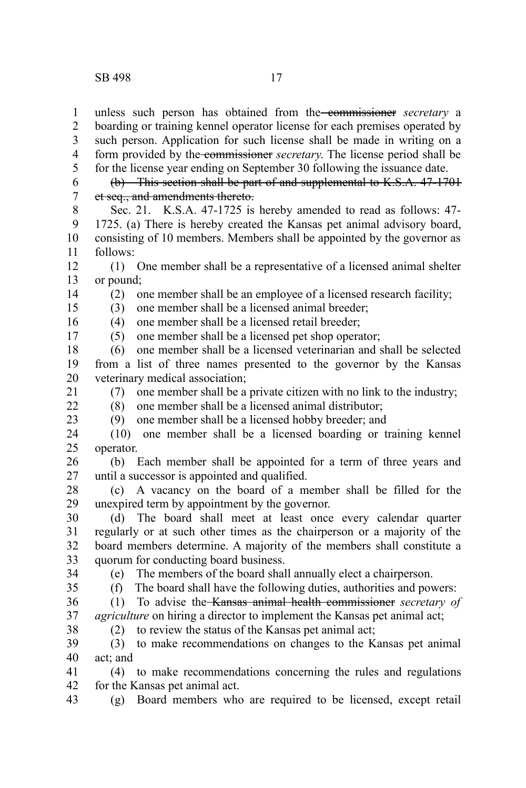unless such person has obtained from the commissioner *secretary* a boarding or training kennel operator license for each premises operated by such person. Application for such license shall be made in writing on a form provided by the commissioner *secretary*. The license period shall be for the license year ending on September 30 following the issuance date. (b) This section shall be part of and supplemental to K.S.A. 47-1701 et seq., and amendments thereto. Sec. 21. K.S.A. 47-1725 is hereby amended to read as follows: 47- 1 2 3 4 5 6 7 8

1725. (a) There is hereby created the Kansas pet animal advisory board, consisting of 10 members. Members shall be appointed by the governor as follows: 9 10 11

(1) One member shall be a representative of a licensed animal shelter or pound; 12 13

14 15

17

21

(2) one member shall be an employee of a licensed research facility;

(3) one member shall be a licensed animal breeder;

(4) one member shall be a licensed retail breeder; 16

(5) one member shall be a licensed pet shop operator;

(6) one member shall be a licensed veterinarian and shall be selected from a list of three names presented to the governor by the Kansas veterinary medical association; 18 19 20

(7) one member shall be a private citizen with no link to the industry;

 $22$ 23 (8) one member shall be a licensed animal distributor; (9) one member shall be a licensed hobby breeder; and

(10) one member shall be a licensed boarding or training kennel operator. 24 25

(b) Each member shall be appointed for a term of three years and until a successor is appointed and qualified. 26 27

(c) A vacancy on the board of a member shall be filled for the unexpired term by appointment by the governor. 28 29

(d) The board shall meet at least once every calendar quarter regularly or at such other times as the chairperson or a majority of the board members determine. A majority of the members shall constitute a quorum for conducting board business. 30 31 32 33

34

(e) The members of the board shall annually elect a chairperson.

35

(f) The board shall have the following duties, authorities and powers:

(1) To advise the Kansas animal health commissioner *secretary of agriculture* on hiring a director to implement the Kansas pet animal act; 36 37 38

(2) to review the status of the Kansas pet animal act;

(3) to make recommendations on changes to the Kansas pet animal act; and 39 40

(4) to make recommendations concerning the rules and regulations for the Kansas pet animal act. 41 42

(g) Board members who are required to be licensed, except retail 43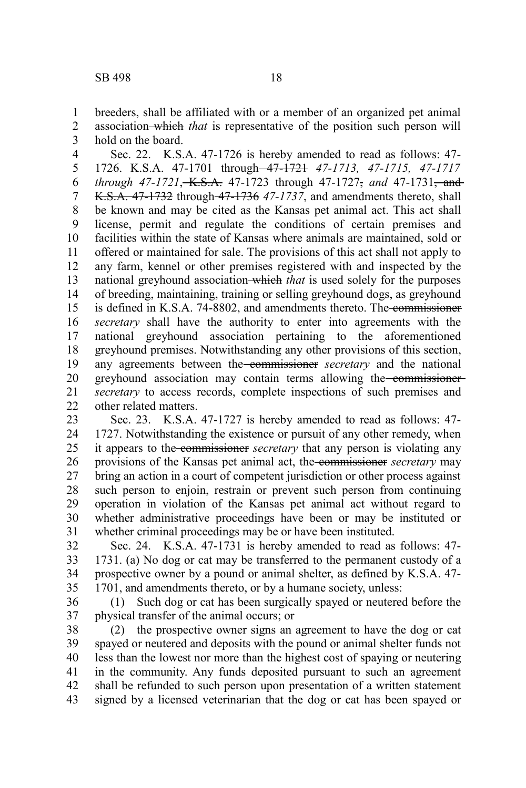breeders, shall be affiliated with or a member of an organized pet animal association which *that* is representative of the position such person will 1 2

hold on the board. 3

Sec. 22. K.S.A. 47-1726 is hereby amended to read as follows: 47- 1726. K.S.A. 47-1701 through 47-1721 *47-1713, 47-1715, 47-1717 through 47-1721*, K.S.A. 47-1723 through 47-1727, *and* 47-1731, and K.S.A. 47-1732 through 47-1736 *47-1737*, and amendments thereto, shall be known and may be cited as the Kansas pet animal act. This act shall license, permit and regulate the conditions of certain premises and facilities within the state of Kansas where animals are maintained, sold or offered or maintained for sale. The provisions of this act shall not apply to any farm, kennel or other premises registered with and inspected by the national greyhound association which *that* is used solely for the purposes of breeding, maintaining, training or selling greyhound dogs, as greyhound is defined in K.S.A. 74-8802, and amendments thereto. The commissioner *secretary* shall have the authority to enter into agreements with the national greyhound association pertaining to the aforementioned greyhound premises. Notwithstanding any other provisions of this section, any agreements between the commissioner *secretary* and the national greyhound association may contain terms allowing the commissioner*secretary* to access records, complete inspections of such premises and other related matters. 4 5 6 7 8 9 10 11 12 13 14 15 16 17 18 19 20 21 22

Sec. 23. K.S.A. 47-1727 is hereby amended to read as follows: 47- 1727. Notwithstanding the existence or pursuit of any other remedy, when it appears to the commissioner *secretary* that any person is violating any provisions of the Kansas pet animal act, the commissioner *secretary* may bring an action in a court of competent jurisdiction or other process against such person to enjoin, restrain or prevent such person from continuing operation in violation of the Kansas pet animal act without regard to whether administrative proceedings have been or may be instituted or whether criminal proceedings may be or have been instituted. 23 24 25 26 27 28 29 30 31

Sec. 24. K.S.A. 47-1731 is hereby amended to read as follows: 47- 1731. (a) No dog or cat may be transferred to the permanent custody of a prospective owner by a pound or animal shelter, as defined by K.S.A. 47- 1701, and amendments thereto, or by a humane society, unless: 32 33 34 35

(1) Such dog or cat has been surgically spayed or neutered before the physical transfer of the animal occurs; or 36 37

(2) the prospective owner signs an agreement to have the dog or cat spayed or neutered and deposits with the pound or animal shelter funds not less than the lowest nor more than the highest cost of spaying or neutering in the community. Any funds deposited pursuant to such an agreement shall be refunded to such person upon presentation of a written statement signed by a licensed veterinarian that the dog or cat has been spayed or 38 39 40 41 42 43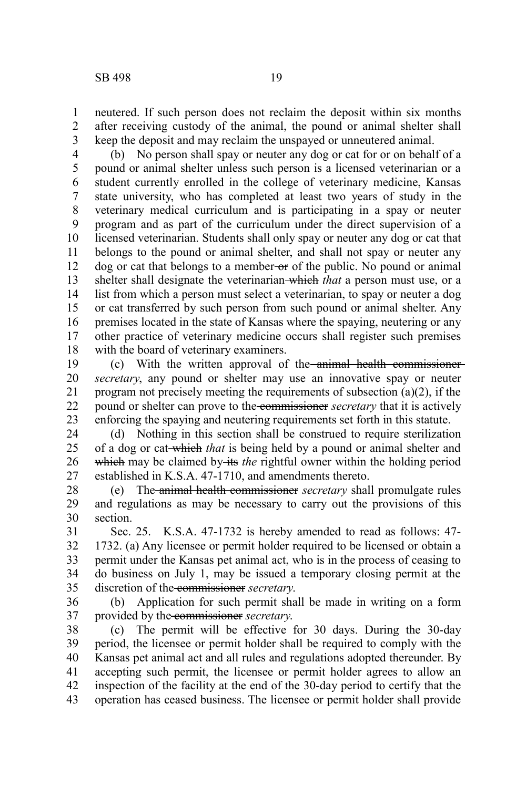neutered. If such person does not reclaim the deposit within six months after receiving custody of the animal, the pound or animal shelter shall keep the deposit and may reclaim the unspayed or unneutered animal. 1 2 3

(b) No person shall spay or neuter any dog or cat for or on behalf of a pound or animal shelter unless such person is a licensed veterinarian or a student currently enrolled in the college of veterinary medicine, Kansas state university, who has completed at least two years of study in the veterinary medical curriculum and is participating in a spay or neuter program and as part of the curriculum under the direct supervision of a licensed veterinarian. Students shall only spay or neuter any dog or cat that belongs to the pound or animal shelter, and shall not spay or neuter any dog or cat that belongs to a member-or of the public. No pound or animal shelter shall designate the veterinarian which *that* a person must use, or a list from which a person must select a veterinarian, to spay or neuter a dog or cat transferred by such person from such pound or animal shelter. Any premises located in the state of Kansas where the spaying, neutering or any other practice of veterinary medicine occurs shall register such premises with the board of veterinary examiners. 4 5 6 7 8 9 10 11 12 13 14 15 16 17 18

(c) With the written approval of the animal health commissioner *secretary*, any pound or shelter may use an innovative spay or neuter program not precisely meeting the requirements of subsection (a)(2), if the pound or shelter can prove to the commissioner *secretary* that it is actively enforcing the spaying and neutering requirements set forth in this statute. 19 20 21 22 23

(d) Nothing in this section shall be construed to require sterilization of a dog or cat which *that* is being held by a pound or animal shelter and which may be claimed by its *the* rightful owner within the holding period established in K.S.A. 47-1710, and amendments thereto. 24 25 26 27

(e) The animal health commissioner *secretary* shall promulgate rules and regulations as may be necessary to carry out the provisions of this section. 28 29 30

Sec. 25. K.S.A. 47-1732 is hereby amended to read as follows: 47- 1732. (a) Any licensee or permit holder required to be licensed or obtain a permit under the Kansas pet animal act, who is in the process of ceasing to do business on July 1, may be issued a temporary closing permit at the discretion of the commissioner *secretary*. 31 32 33 34 35

(b) Application for such permit shall be made in writing on a form provided by the commissioner *secretary*. 36 37

(c) The permit will be effective for 30 days. During the 30-day period, the licensee or permit holder shall be required to comply with the Kansas pet animal act and all rules and regulations adopted thereunder. By accepting such permit, the licensee or permit holder agrees to allow an inspection of the facility at the end of the 30-day period to certify that the operation has ceased business. The licensee or permit holder shall provide 38 39 40 41 42 43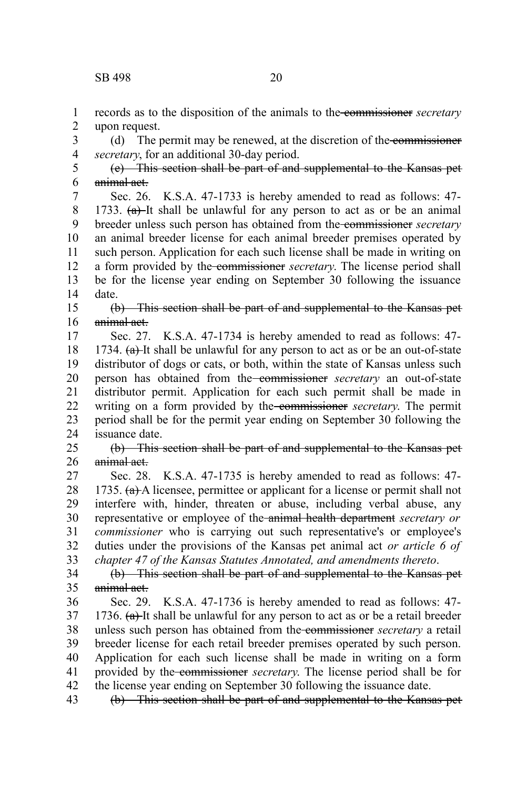records as to the disposition of the animals to the commissioner *secretary* upon request. 1 2

(d) The permit may be renewed, at the discretion of the commissioner *secretary*, for an additional 30-day period. 3 4

(e) This section shall be part of and supplemental to the Kansas pet animal act. 5 6

Sec. 26. K.S.A. 47-1733 is hereby amended to read as follows: 47- 1733.  $(a)$ -It shall be unlawful for any person to act as or be an animal breeder unless such person has obtained from the commissioner *secretary* an animal breeder license for each animal breeder premises operated by such person. Application for each such license shall be made in writing on a form provided by the commissioner *secretary*. The license period shall be for the license year ending on September 30 following the issuance date. 7 8 9 10 11 12 13 14

(b) This section shall be part of and supplemental to the Kansas pet animal act. 15 16

Sec. 27. K.S.A. 47-1734 is hereby amended to read as follows: 47- 1734.  $(a)$ -It shall be unlawful for any person to act as or be an out-of-state distributor of dogs or cats, or both, within the state of Kansas unless such person has obtained from the commissioner *secretary* an out-of-state distributor permit. Application for each such permit shall be made in writing on a form provided by the commissioner *secretary*. The permit period shall be for the permit year ending on September 30 following the issuance date. 17 18 19 20 21 22 23 24

(b) This section shall be part of and supplemental to the Kansas pet animal act. 25 26

Sec. 28. K.S.A. 47-1735 is hereby amended to read as follows: 47- 1735.  $(a)$  A licensee, permittee or applicant for a license or permit shall not interfere with, hinder, threaten or abuse, including verbal abuse, any representative or employee of the animal health department *secretary or commissioner* who is carrying out such representative's or employee's duties under the provisions of the Kansas pet animal act *or article 6 of chapter 47 of the Kansas Statutes Annotated, and amendments thereto*. 27 28 29 30 31 32 33

(b) This section shall be part of and supplemental to the Kansas pet animal act. 34 35

Sec. 29. K.S.A. 47-1736 is hereby amended to read as follows: 47- 1736.  $(a)$ -It shall be unlawful for any person to act as or be a retail breeder unless such person has obtained from the commissioner *secretary* a retail breeder license for each retail breeder premises operated by such person. Application for each such license shall be made in writing on a form provided by the commissioner *secretary*. The license period shall be for the license year ending on September 30 following the issuance date. 36 37 38 39 40 41 42

(b) This section shall be part of and supplemental to the Kansas pet 43